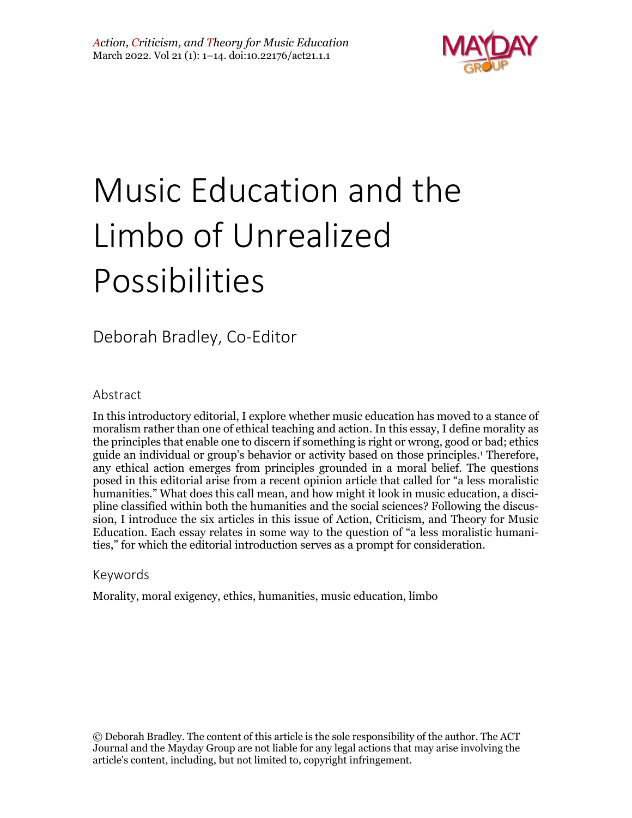

# Music Education and the Limbo of Unrealized Possibilities

# Deborah Bradley, Co-Editor

#### Abstract

In this introductory editorial, I explore whether music education has moved to a stance of moralism rather than one of ethical teaching and action. In this essay, I define morality as the principles that enable one to discern if something is right or wrong, good or bad; ethics guide an individual or group's behavior or activity based on those principles. <sup>1</sup> Therefore, any ethical action emerges from principles grounded in a moral belief. The questions posed in this editorial arise from a recent opinion article that called for "a less moralistic humanities." What does this call mean, and how might it look in music education, a discipline classified within both the humanities and the social sciences? Following the discussion, I introduce the six articles in this issue of Action, Criticism, and Theory for Music Education. Each essay relates in some way to the question of "a less moralistic humanities," for which the editorial introduction serves as a prompt for consideration.

#### Keywords

Morality, moral exigency, ethics, humanities, music education, limbo

© Deborah Bradley. The content of this article is the sole responsibility of the author. The ACT Journal and the Mayday Group are not liable for any legal actions that may arise involving the article's content, including, but not limited to, copyright infringement.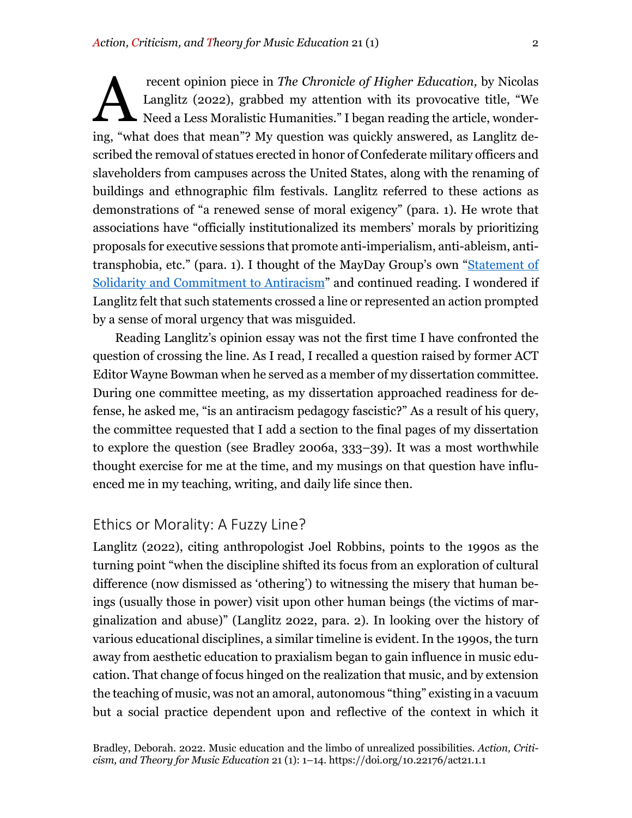recent opinion piece in *The Chronicle of Higher Education,* by Nicolas Langlitz (2022), grabbed my attention with its provocative title, "We Need a Less Moralistic Humanities." I began reading the article, wondering, "what does that mean"? My question was quickly answered, as Langlitz described the removal of statues erected in honor of Confederate military officers and slaveholders from campuses across the United States, along with the renaming of buildings and ethnographic film festivals. Langlitz referred to these actions as demonstrations of "a renewed sense of moral exigency" (para. 1). He wrote that associations have "officially institutionalized its members' morals by prioritizing proposals for executive sessions that promote anti-imperialism, anti-ableism, antitransphobia, etc." (para. 1). I thought of the MayDay Group's own "Statement of Solidarity and Commitment to Antiracism" and continued reading. I wondered if Langlitz felt that such statements crossed a line or represented an action prompted by a sense of moral urgency that was misguided. A

Reading Langlitz's opinion essay was not the first time I have confronted the question of crossing the line. As I read, I recalled a question raised by former ACT Editor Wayne Bowman when he served as a member of my dissertation committee. During one committee meeting, as my dissertation approached readiness for defense, he asked me, "is an antiracism pedagogy fascistic?" As a result of his query, the committee requested that I add a section to the final pages of my dissertation to explore the question (see Bradley 2006a, 333–39). It was a most worthwhile thought exercise for me at the time, and my musings on that question have influenced me in my teaching, writing, and daily life since then.

# Ethics or Morality: A Fuzzy Line?

Langlitz (2022), citing anthropologist Joel Robbins, points to the 1990s as the turning point "when the discipline shifted its focus from an exploration of cultural difference (now dismissed as 'othering') to witnessing the misery that human beings (usually those in power) visit upon other human beings (the victims of marginalization and abuse)" (Langlitz 2022, para. 2). In looking over the history of various educational disciplines, a similar timeline is evident. In the 1990s, the turn away from aesthetic education to praxialism began to gain influence in music education. That change of focus hinged on the realization that music, and by extension the teaching of music, was not an amoral, autonomous "thing" existing in a vacuum but a social practice dependent upon and reflective of the context in which it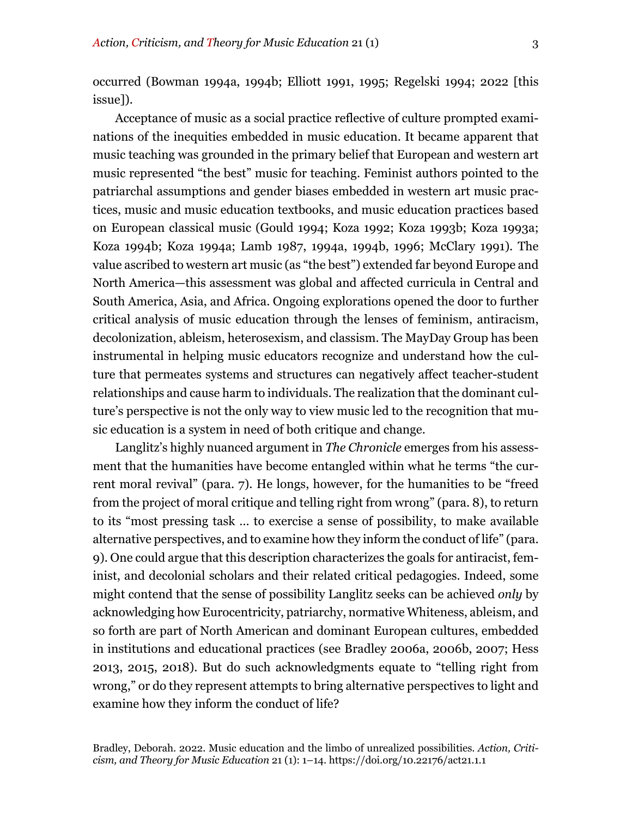occurred (Bowman 1994a, 1994b; Elliott 1991, 1995; Regelski 1994; 2022 [this issue]).

Acceptance of music as a social practice reflective of culture prompted examinations of the inequities embedded in music education. It became apparent that music teaching was grounded in the primary belief that European and western art music represented "the best" music for teaching. Feminist authors pointed to the patriarchal assumptions and gender biases embedded in western art music practices, music and music education textbooks, and music education practices based on European classical music (Gould 1994; Koza 1992; Koza 1993b; Koza 1993a; Koza 1994b; Koza 1994a; Lamb 1987, 1994a, 1994b, 1996; McClary 1991). The value ascribed to western art music (as "the best") extended far beyond Europe and North America—this assessment was global and affected curricula in Central and South America, Asia, and Africa. Ongoing explorations opened the door to further critical analysis of music education through the lenses of feminism, antiracism, decolonization, ableism, heterosexism, and classism. The MayDay Group has been instrumental in helping music educators recognize and understand how the culture that permeates systems and structures can negatively affect teacher-student relationships and cause harm to individuals. The realization that the dominant culture's perspective is not the only way to view music led to the recognition that music education is a system in need of both critique and change.

Langlitz's highly nuanced argument in *The Chronicle* emerges from his assessment that the humanities have become entangled within what he terms "the current moral revival" (para. 7). He longs, however, for the humanities to be "freed from the project of moral critique and telling right from wrong" (para. 8), to return to its "most pressing task … to exercise a sense of possibility, to make available alternative perspectives, and to examine how they inform the conduct of life" (para. 9). One could argue that this description characterizes the goals for antiracist, feminist, and decolonial scholars and their related critical pedagogies. Indeed, some might contend that the sense of possibility Langlitz seeks can be achieved *only* by acknowledging how Eurocentricity, patriarchy, normative Whiteness, ableism, and so forth are part of North American and dominant European cultures, embedded in institutions and educational practices (see Bradley 2006a, 2006b, 2007; Hess 2013, 2015, 2018). But do such acknowledgments equate to "telling right from wrong," or do they represent attempts to bring alternative perspectives to light and examine how they inform the conduct of life?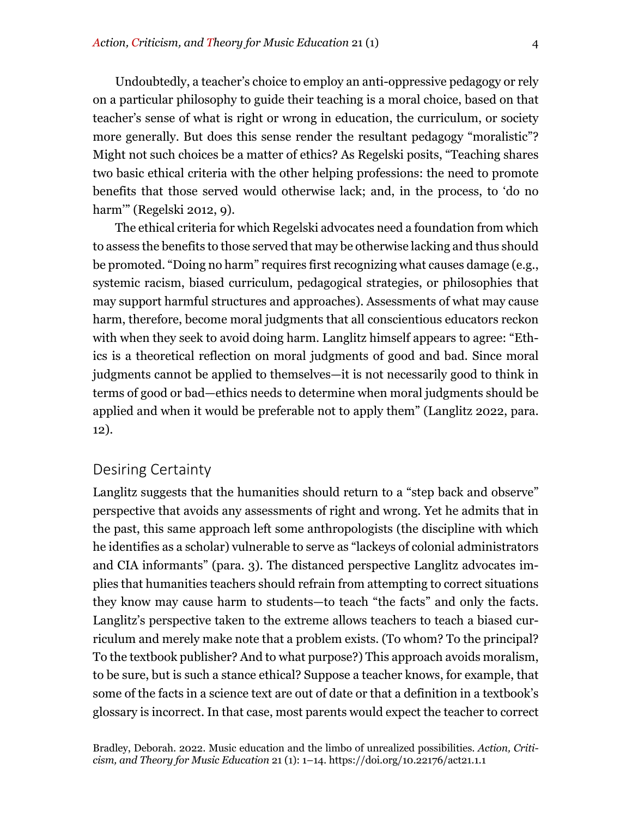Undoubtedly, a teacher's choice to employ an anti-oppressive pedagogy or rely on a particular philosophy to guide their teaching is a moral choice, based on that teacher's sense of what is right or wrong in education, the curriculum, or society more generally. But does this sense render the resultant pedagogy "moralistic"? Might not such choices be a matter of ethics? As Regelski posits, "Teaching shares two basic ethical criteria with the other helping professions: the need to promote benefits that those served would otherwise lack; and, in the process, to 'do no harm'" (Regelski 2012, 9).

The ethical criteria for which Regelski advocates need a foundation from which to assess the benefits to those served that may be otherwise lacking and thus should be promoted. "Doing no harm" requires first recognizing what causes damage (e.g., systemic racism, biased curriculum, pedagogical strategies, or philosophies that may support harmful structures and approaches). Assessments of what may cause harm, therefore, become moral judgments that all conscientious educators reckon with when they seek to avoid doing harm. Langlitz himself appears to agree: "Ethics is a theoretical reflection on moral judgments of good and bad. Since moral judgments cannot be applied to themselves—it is not necessarily good to think in terms of good or bad—ethics needs to determine when moral judgments should be applied and when it would be preferable not to apply them" (Langlitz 2022, para. 12).

# Desiring Certainty

Langlitz suggests that the humanities should return to a "step back and observe" perspective that avoids any assessments of right and wrong. Yet he admits that in the past, this same approach left some anthropologists (the discipline with which he identifies as a scholar) vulnerable to serve as "lackeys of colonial administrators and CIA informants" (para. 3). The distanced perspective Langlitz advocates implies that humanities teachers should refrain from attempting to correct situations they know may cause harm to students—to teach "the facts" and only the facts. Langlitz's perspective taken to the extreme allows teachers to teach a biased curriculum and merely make note that a problem exists. (To whom? To the principal? To the textbook publisher? And to what purpose?) This approach avoids moralism, to be sure, but is such a stance ethical? Suppose a teacher knows, for example, that some of the facts in a science text are out of date or that a definition in a textbook's glossary is incorrect. In that case, most parents would expect the teacher to correct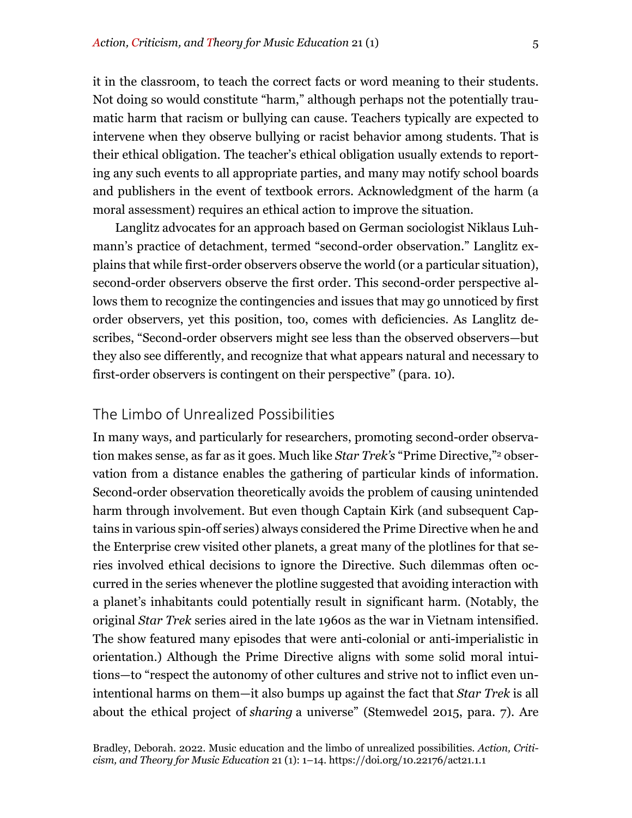it in the classroom, to teach the correct facts or word meaning to their students. Not doing so would constitute "harm," although perhaps not the potentially traumatic harm that racism or bullying can cause. Teachers typically are expected to intervene when they observe bullying or racist behavior among students. That is their ethical obligation. The teacher's ethical obligation usually extends to reporting any such events to all appropriate parties, and many may notify school boards and publishers in the event of textbook errors. Acknowledgment of the harm (a moral assessment) requires an ethical action to improve the situation.

Langlitz advocates for an approach based on German sociologist Niklaus Luhmann's practice of detachment, termed "second-order observation." Langlitz explains that while first-order observers observe the world (or a particular situation), second-order observers observe the first order. This second-order perspective allows them to recognize the contingencies and issues that may go unnoticed by first order observers, yet this position, too, comes with deficiencies. As Langlitz describes, "Second-order observers might see less than the observed observers—but they also see differently, and recognize that what appears natural and necessary to first-order observers is contingent on their perspective" (para. 10).

#### The Limbo of Unrealized Possibilities

In many ways, and particularly for researchers, promoting second-order observation makes sense, as far as it goes. Much like *Star Trek's* "Prime Directive,"2 observation from a distance enables the gathering of particular kinds of information. Second-order observation theoretically avoids the problem of causing unintended harm through involvement. But even though Captain Kirk (and subsequent Captains in various spin-off series) always considered the Prime Directive when he and the Enterprise crew visited other planets, a great many of the plotlines for that series involved ethical decisions to ignore the Directive. Such dilemmas often occurred in the series whenever the plotline suggested that avoiding interaction with a planet's inhabitants could potentially result in significant harm. (Notably, the original *Star Trek* series aired in the late 1960s as the war in Vietnam intensified. The show featured many episodes that were anti-colonial or anti-imperialistic in orientation.) Although the Prime Directive aligns with some solid moral intuitions—to "respect the autonomy of other cultures and strive not to inflict even unintentional harms on them—it also bumps up against the fact that *Star Trek* is all about the ethical project of *sharing* a universe" (Stemwedel 2015, para. 7). Are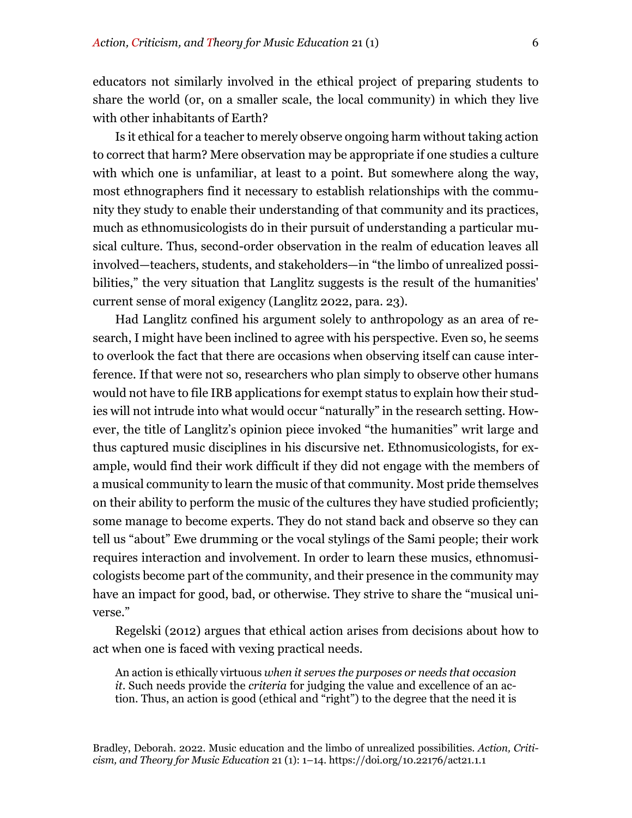educators not similarly involved in the ethical project of preparing students to share the world (or, on a smaller scale, the local community) in which they live with other inhabitants of Earth?

Is it ethical for a teacher to merely observe ongoing harm without taking action to correct that harm? Mere observation may be appropriate if one studies a culture with which one is unfamiliar, at least to a point. But somewhere along the way, most ethnographers find it necessary to establish relationships with the community they study to enable their understanding of that community and its practices, much as ethnomusicologists do in their pursuit of understanding a particular musical culture. Thus, second-order observation in the realm of education leaves all involved—teachers, students, and stakeholders—in "the limbo of unrealized possibilities," the very situation that Langlitz suggests is the result of the humanities' current sense of moral exigency (Langlitz 2022, para. 23).

Had Langlitz confined his argument solely to anthropology as an area of research, I might have been inclined to agree with his perspective. Even so, he seems to overlook the fact that there are occasions when observing itself can cause interference. If that were not so, researchers who plan simply to observe other humans would not have to file IRB applications for exempt status to explain how their studies will not intrude into what would occur "naturally" in the research setting. However, the title of Langlitz's opinion piece invoked "the humanities" writ large and thus captured music disciplines in his discursive net. Ethnomusicologists, for example, would find their work difficult if they did not engage with the members of a musical community to learn the music of that community. Most pride themselves on their ability to perform the music of the cultures they have studied proficiently; some manage to become experts. They do not stand back and observe so they can tell us "about" Ewe drumming or the vocal stylings of the Sami people; their work requires interaction and involvement. In order to learn these musics, ethnomusicologists become part of the community, and their presence in the community may have an impact for good, bad, or otherwise. They strive to share the "musical universe."

Regelski (2012) argues that ethical action arises from decisions about how to act when one is faced with vexing practical needs.

An action is ethically virtuous *when it serves the purposes or needs that occasion it*. Such needs provide the *criteria* for judging the value and excellence of an action. Thus, an action is good (ethical and "right") to the degree that the need it is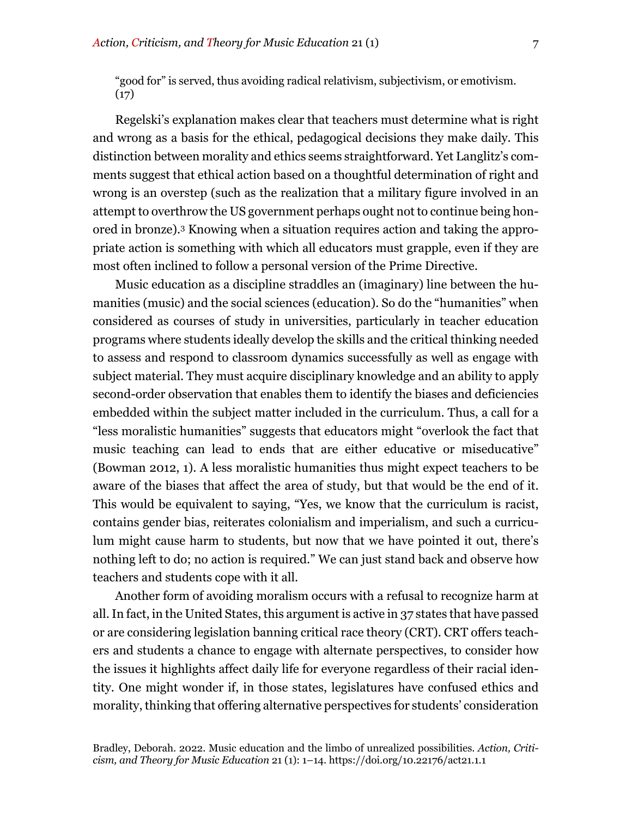"good for" is served, thus avoiding radical relativism, subjectivism, or emotivism.  $(17)$ 

Regelski's explanation makes clear that teachers must determine what is right and wrong as a basis for the ethical, pedagogical decisions they make daily. This distinction between morality and ethics seems straightforward. Yet Langlitz's comments suggest that ethical action based on a thoughtful determination of right and wrong is an overstep (such as the realization that a military figure involved in an attempt to overthrow the US government perhaps ought not to continue being honored in bronze).3 Knowing when a situation requires action and taking the appropriate action is something with which all educators must grapple, even if they are most often inclined to follow a personal version of the Prime Directive.

Music education as a discipline straddles an (imaginary) line between the humanities (music) and the social sciences (education). So do the "humanities" when considered as courses of study in universities, particularly in teacher education programs where students ideally develop the skills and the critical thinking needed to assess and respond to classroom dynamics successfully as well as engage with subject material. They must acquire disciplinary knowledge and an ability to apply second-order observation that enables them to identify the biases and deficiencies embedded within the subject matter included in the curriculum. Thus, a call for a "less moralistic humanities" suggests that educators might "overlook the fact that music teaching can lead to ends that are either educative or miseducative" (Bowman 2012, 1). A less moralistic humanities thus might expect teachers to be aware of the biases that affect the area of study, but that would be the end of it. This would be equivalent to saying, "Yes, we know that the curriculum is racist, contains gender bias, reiterates colonialism and imperialism, and such a curriculum might cause harm to students, but now that we have pointed it out, there's nothing left to do; no action is required." We can just stand back and observe how teachers and students cope with it all.

Another form of avoiding moralism occurs with a refusal to recognize harm at all. In fact, in the United States, this argument is active in 37 states that have passed or are considering legislation banning critical race theory (CRT). CRT offers teachers and students a chance to engage with alternate perspectives, to consider how the issues it highlights affect daily life for everyone regardless of their racial identity. One might wonder if, in those states, legislatures have confused ethics and morality, thinking that offering alternative perspectives for students' consideration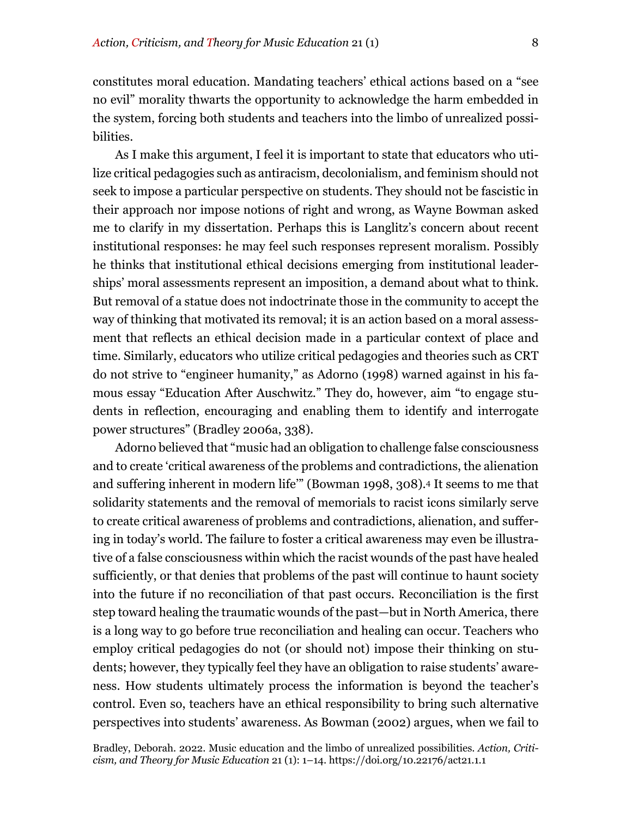constitutes moral education. Mandating teachers' ethical actions based on a "see no evil" morality thwarts the opportunity to acknowledge the harm embedded in the system, forcing both students and teachers into the limbo of unrealized possibilities.

As I make this argument, I feel it is important to state that educators who utilize critical pedagogies such as antiracism, decolonialism, and feminism should not seek to impose a particular perspective on students. They should not be fascistic in their approach nor impose notions of right and wrong, as Wayne Bowman asked me to clarify in my dissertation. Perhaps this is Langlitz's concern about recent institutional responses: he may feel such responses represent moralism. Possibly he thinks that institutional ethical decisions emerging from institutional leaderships' moral assessments represent an imposition, a demand about what to think. But removal of a statue does not indoctrinate those in the community to accept the way of thinking that motivated its removal; it is an action based on a moral assessment that reflects an ethical decision made in a particular context of place and time. Similarly, educators who utilize critical pedagogies and theories such as CRT do not strive to "engineer humanity," as Adorno (1998) warned against in his famous essay "Education After Auschwitz." They do, however, aim "to engage students in reflection, encouraging and enabling them to identify and interrogate power structures" (Bradley 2006a, 338).

Adorno believed that "music had an obligation to challenge false consciousness and to create 'critical awareness of the problems and contradictions, the alienation and suffering inherent in modern life'" (Bowman 1998, 308).4 It seems to me that solidarity statements and the removal of memorials to racist icons similarly serve to create critical awareness of problems and contradictions, alienation, and suffering in today's world. The failure to foster a critical awareness may even be illustrative of a false consciousness within which the racist wounds of the past have healed sufficiently, or that denies that problems of the past will continue to haunt society into the future if no reconciliation of that past occurs. Reconciliation is the first step toward healing the traumatic wounds of the past—but in North America, there is a long way to go before true reconciliation and healing can occur. Teachers who employ critical pedagogies do not (or should not) impose their thinking on students; however, they typically feel they have an obligation to raise students' awareness. How students ultimately process the information is beyond the teacher's control. Even so, teachers have an ethical responsibility to bring such alternative perspectives into students' awareness. As Bowman (2002) argues, when we fail to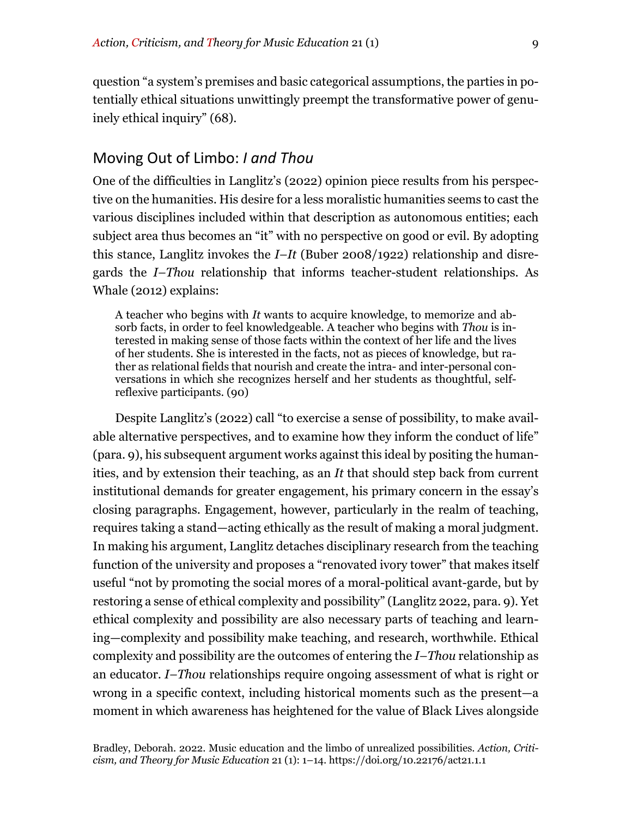question "a system's premises and basic categorical assumptions, the parties in potentially ethical situations unwittingly preempt the transformative power of genuinely ethical inquiry" (68).

#### Moving Out of Limbo: *I and Thou*

One of the difficulties in Langlitz's (2022) opinion piece results from his perspective on the humanities. His desire for a less moralistic humanities seems to cast the various disciplines included within that description as autonomous entities; each subject area thus becomes an "it" with no perspective on good or evil. By adopting this stance, Langlitz invokes the *I–It* (Buber 2008/1922) relationship and disregards the *I–Thou* relationship that informs teacher-student relationships. As Whale (2012) explains:

A teacher who begins with *It* wants to acquire knowledge, to memorize and absorb facts, in order to feel knowledgeable. A teacher who begins with *Thou* is interested in making sense of those facts within the context of her life and the lives of her students. She is interested in the facts, not as pieces of knowledge, but rather as relational fields that nourish and create the intra- and inter-personal conversations in which she recognizes herself and her students as thoughtful, selfreflexive participants. (90)

Despite Langlitz's (2022) call "to exercise a sense of possibility, to make available alternative perspectives, and to examine how they inform the conduct of life" (para. 9), his subsequent argument works against this ideal by positing the humanities, and by extension their teaching, as an *It* that should step back from current institutional demands for greater engagement, his primary concern in the essay's closing paragraphs. Engagement, however, particularly in the realm of teaching, requires taking a stand—acting ethically as the result of making a moral judgment. In making his argument, Langlitz detaches disciplinary research from the teaching function of the university and proposes a "renovated ivory tower" that makes itself useful "not by promoting the social mores of a moral-political avant-garde, but by restoring a sense of ethical complexity and possibility" (Langlitz 2022, para. 9). Yet ethical complexity and possibility are also necessary parts of teaching and learning—complexity and possibility make teaching, and research, worthwhile. Ethical complexity and possibility are the outcomes of entering the *I–Thou* relationship as an educator. *I–Thou* relationships require ongoing assessment of what is right or wrong in a specific context, including historical moments such as the present—a moment in which awareness has heightened for the value of Black Lives alongside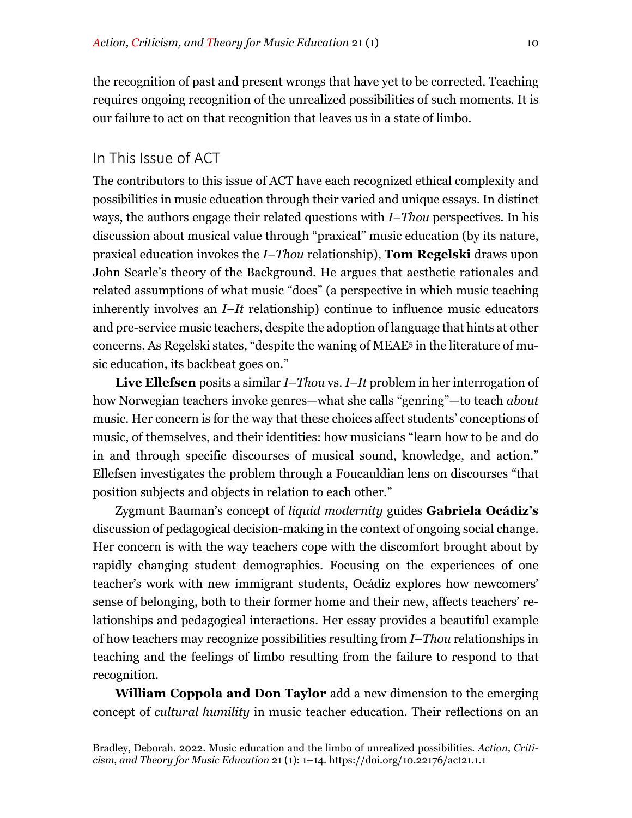the recognition of past and present wrongs that have yet to be corrected. Teaching requires ongoing recognition of the unrealized possibilities of such moments. It is our failure to act on that recognition that leaves us in a state of limbo.

### In This Issue of ACT

The contributors to this issue of ACT have each recognized ethical complexity and possibilities in music education through their varied and unique essays. In distinct ways, the authors engage their related questions with *I–Thou* perspectives. In his discussion about musical value through "praxical" music education (by its nature, praxical education invokes the *I–Thou* relationship), **Tom Regelski** draws upon John Searle's theory of the Background. He argues that aesthetic rationales and related assumptions of what music "does" (a perspective in which music teaching inherently involves an *I–It* relationship) continue to influence music educators and pre-service music teachers, despite the adoption of language that hints at other concerns. As Regelski states, "despite the waning of MEAE5 in the literature of music education, its backbeat goes on."

**Live Ellefsen** posits a similar *I–Thou* vs. *I–It* problem in her interrogation of how Norwegian teachers invoke genres—what she calls "genring"—to teach *about* music. Her concern is for the way that these choices affect students' conceptions of music, of themselves, and their identities: how musicians "learn how to be and do in and through specific discourses of musical sound, knowledge, and action." Ellefsen investigates the problem through a Foucauldian lens on discourses "that position subjects and objects in relation to each other."

Zygmunt Bauman's concept of *liquid modernity* guides **Gabriela Ocádiz's** discussion of pedagogical decision-making in the context of ongoing social change. Her concern is with the way teachers cope with the discomfort brought about by rapidly changing student demographics. Focusing on the experiences of one teacher's work with new immigrant students, Ocádiz explores how newcomers' sense of belonging, both to their former home and their new, affects teachers' relationships and pedagogical interactions. Her essay provides a beautiful example of how teachers may recognize possibilities resulting from *I–Thou* relationships in teaching and the feelings of limbo resulting from the failure to respond to that recognition.

**William Coppola and Don Taylor** add a new dimension to the emerging concept of *cultural humility* in music teacher education. Their reflections on an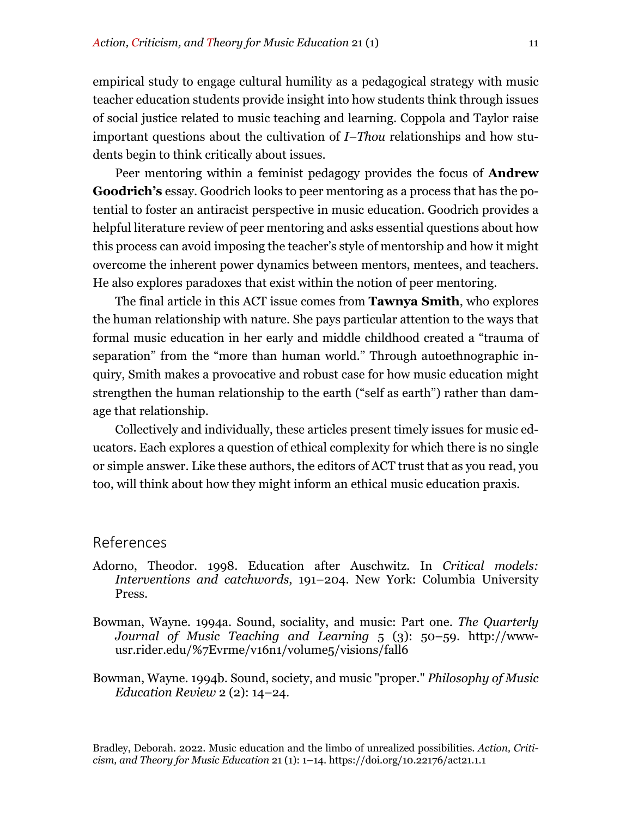empirical study to engage cultural humility as a pedagogical strategy with music teacher education students provide insight into how students think through issues of social justice related to music teaching and learning. Coppola and Taylor raise important questions about the cultivation of *I–Thou* relationships and how students begin to think critically about issues.

Peer mentoring within a feminist pedagogy provides the focus of **Andrew Goodrich's** essay. Goodrich looks to peer mentoring as a process that has the potential to foster an antiracist perspective in music education. Goodrich provides a helpful literature review of peer mentoring and asks essential questions about how this process can avoid imposing the teacher's style of mentorship and how it might overcome the inherent power dynamics between mentors, mentees, and teachers. He also explores paradoxes that exist within the notion of peer mentoring.

The final article in this ACT issue comes from **Tawnya Smith**, who explores the human relationship with nature. She pays particular attention to the ways that formal music education in her early and middle childhood created a "trauma of separation" from the "more than human world." Through autoethnographic inquiry, Smith makes a provocative and robust case for how music education might strengthen the human relationship to the earth ("self as earth") rather than damage that relationship.

Collectively and individually, these articles present timely issues for music educators. Each explores a question of ethical complexity for which there is no single or simple answer. Like these authors, the editors of ACT trust that as you read, you too, will think about how they might inform an ethical music education praxis.

#### References

- Adorno, Theodor. 1998. Education after Auschwitz. In *Critical models: Interventions and catchwords*, 191–204. New York: Columbia University Press.
- Bowman, Wayne. 1994a. Sound, sociality, and music: Part one. *The Quarterly Journal of Music Teaching and Learning* 5 (3): 50–59. http://wwwusr.rider.edu/%7Evrme/v16n1/volume5/visions/fall6
- Bowman, Wayne. 1994b. Sound, society, and music "proper." *Philosophy of Music Education Review* 2 (2): 14–24.

Bradley, Deborah. 2022. Music education and the limbo of unrealized possibilities. *Action, Criticism, and Theory for Music Education* 21 (1): 1–14. https://doi.org/10.22176/act21.1.1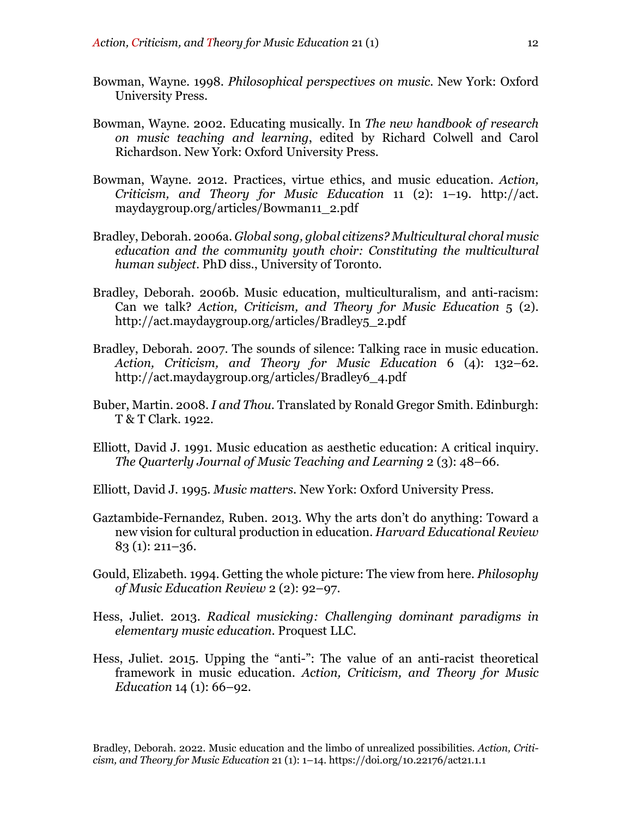- Bowman, Wayne. 1998. *Philosophical perspectives on music*. New York: Oxford University Press.
- Bowman, Wayne. 2002. Educating musically. In *The new handbook of research on music teaching and learning*, edited by Richard Colwell and Carol Richardson. New York: Oxford University Press.
- Bowman, Wayne. 2012. Practices, virtue ethics, and music education. *Action, Criticism, and Theory for Music Education* 11 (2): 1–19. http://act. maydaygroup.org/articles/Bowman11\_2.pdf
- Bradley, Deborah. 2006a. *Global song, global citizens? Multicultural choral music education and the community youth choir: Constituting the multicultural human subject*. PhD diss., University of Toronto.
- Bradley, Deborah. 2006b. Music education, multiculturalism, and anti-racism: Can we talk? *Action, Criticism, and Theory for Music Education* 5 (2). http://act.maydaygroup.org/articles/Bradley5\_2.pdf
- Bradley, Deborah. 2007. The sounds of silence: Talking race in music education. *Action, Criticism, and Theory for Music Education* 6 (4): 132–62. http://act.maydaygroup.org/articles/Bradley6\_4.pdf
- Buber, Martin. 2008. *I and Thou*. Translated by Ronald Gregor Smith. Edinburgh: T & T Clark. 1922.
- Elliott, David J. 1991. Music education as aesthetic education: A critical inquiry. *The Quarterly Journal of Music Teaching and Learning* 2 (3): 48–66.
- Elliott, David J. 1995. *Music matters*. New York: Oxford University Press.
- Gaztambide-Fernandez, Ruben. 2013. Why the arts don't do anything: Toward a new vision for cultural production in education. *Harvard Educational Review* 83 (1): 211–36.
- Gould, Elizabeth. 1994. Getting the whole picture: The view from here. *Philosophy of Music Education Review* 2 (2): 92–97.
- Hess, Juliet. 2013. *Radical musicking: Challenging dominant paradigms in elementary music education.* Proquest LLC.
- Hess, Juliet. 2015. Upping the "anti-": The value of an anti-racist theoretical framework in music education. *Action, Criticism, and Theory for Music Education* 14 (1): 66–92.

Bradley, Deborah. 2022. Music education and the limbo of unrealized possibilities. *Action, Criticism, and Theory for Music Education* 21 (1): 1–14. https://doi.org/10.22176/act21.1.1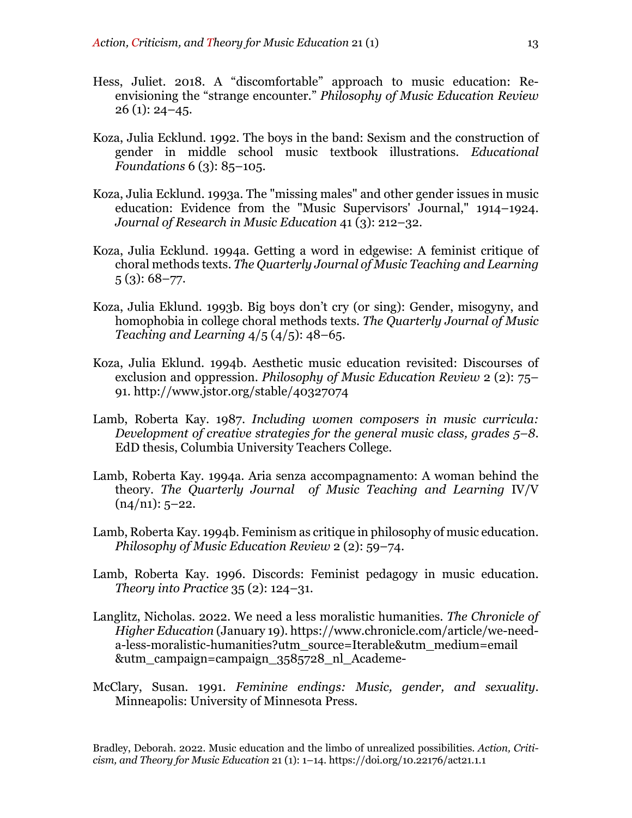- Hess, Juliet. 2018. A "discomfortable" approach to music education: Reenvisioning the "strange encounter." *Philosophy of Music Education Review*  $26$  (1):  $24 - 45$ .
- Koza, Julia Ecklund. 1992. The boys in the band: Sexism and the construction of gender in middle school music textbook illustrations. *Educational Foundations* 6 (3): 85–105.
- Koza, Julia Ecklund. 1993a. The "missing males" and other gender issues in music education: Evidence from the "Music Supervisors' Journal," 1914–1924. *Journal of Research in Music Education* 41 (3): 212–32.
- Koza, Julia Ecklund. 1994a. Getting a word in edgewise: A feminist critique of choral methods texts. *The Quarterly Journal of Music Teaching and Learning*  $5(3)$ : 68–77.
- Koza, Julia Eklund. 1993b. Big boys don't cry (or sing): Gender, misogyny, and homophobia in college choral methods texts. *The Quarterly Journal of Music Teaching and Learning* 4/5 (4/5): 48–65.
- Koza, Julia Eklund. 1994b. Aesthetic music education revisited: Discourses of exclusion and oppression. *Philosophy of Music Education Review* 2 (2): 75– 91. http://www.jstor.org/stable/40327074
- Lamb, Roberta Kay. 1987. *Including women composers in music curricula: Development of creative strategies for the general music class, grades 5–8*. EdD thesis, Columbia University Teachers College.
- Lamb, Roberta Kay. 1994a. Aria senza accompagnamento: A woman behind the theory. *The Quarterly Journal of Music Teaching and Learning* IV/V  $(n4/n1): 5-22.$
- Lamb, Roberta Kay. 1994b. Feminism as critique in philosophy of music education. *Philosophy of Music Education Review* 2 (2): 59–74.
- Lamb, Roberta Kay. 1996. Discords: Feminist pedagogy in music education. *Theory into Practice* 35 (2): 124–31.
- Langlitz, Nicholas. 2022. We need a less moralistic humanities. *The Chronicle of Higher Education* (January 19). https://www.chronicle.com/article/we-needa-less-moralistic-humanities?utm\_source=Iterable&utm\_medium=email &utm\_campaign=campaign\_3585728\_nl\_Academe-
- McClary, Susan. 1991. *Feminine endings: Music, gender, and sexuality*. Minneapolis: University of Minnesota Press.

Bradley, Deborah. 2022. Music education and the limbo of unrealized possibilities. *Action, Criticism, and Theory for Music Education* 21 (1): 1–14. https://doi.org/10.22176/act21.1.1